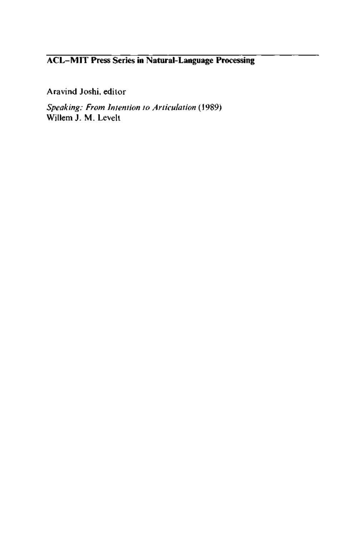# **ACL-MIT Press Series in Natural-Language Processing**

Aravind Joshi, editor

*Speaking: From Intention to Articulation* (1989) Willem J. M. Levelt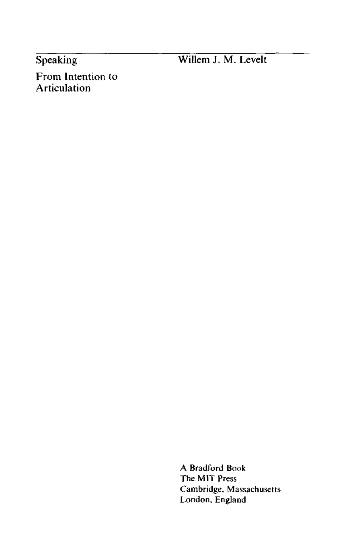Speaking Willem J. M. Levelt From Intention to Articulation

> A Bradford Book The MIT Press Cambridge, Massachusetts London, England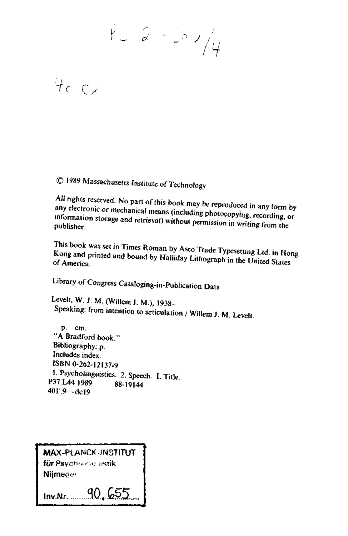$\hat{Y} = 2 - 20 \frac{1}{4}$ 

 $4c$   $c$ 

© 1989 Massachusetts Institute of Technology

All rights reserved. No part of this book may be reproduced in any form by<br>any electronic or mechanical means (including all produced in any form by any electronic or mechanical means (including photocopying, recording, or<br>information storage and retrieval) without agree in coopying, recording, or information storage and retrieval) without permission in writing from the publisher.

This book was set in Times Roman by Asco Trade Typesetting Ltd. in Hong Kong and printed and bound by Halliday Lithograph in the United States **Example 2 C**<br> **Example 2 Constants Catalogical C C**  $\mathbf{r}$  **C**  $\mathbf{r}$  **C**  $\mathbf{r}$  **C**  $\mathbf{r}$  **C**  $\mathbf{r}$  **C**  $\mathbf{r}$  **C**  $\mathbf{r}$  **C**  $\mathbf{r}$  **C**  $\mathbf{r}$  **C**  $\mathbf{r}$  **C**  $\mathbf{r}$  **C**  $\mathbf{r}$  **C**  $\mathbf{$ 

**Library Cataloging-in-Publication Data** 

Levelt, W. J. M. (Willem J. M.), 1938- Speaking: from intention to articulation / Willem J. M. Levelt.

p. cm. "A Bradford book." Bibliography: p. Includes index. ISBN 0-262-12137-9 1. Psycholinguistics. 2. Speech. I. Title.<br>37.L44 1989 88-19144 P37.L44 1989  $401'$ .9—de19

| MAX-PLANCK-INSTITUT<br><b>für Psychologie astik</b><br>Nijmeger |  |  |
|-----------------------------------------------------------------|--|--|
| $_{Inv.Nr}$ $90,655$                                            |  |  |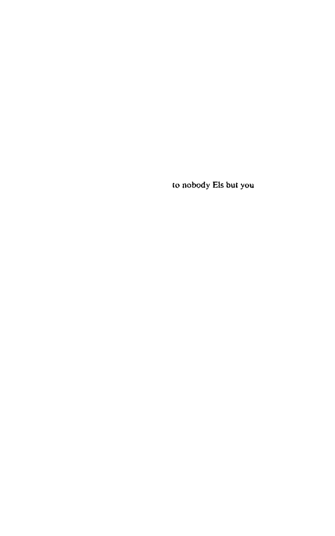to nobody Els but you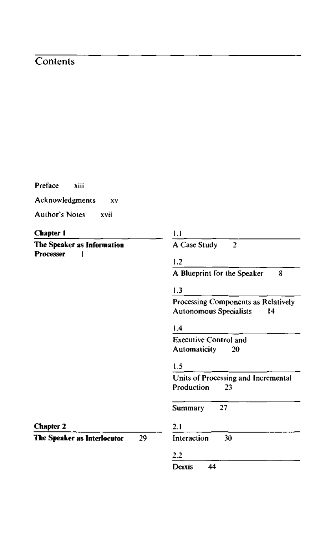# **Contents**

| Preface<br>xiii                                     |                                     |
|-----------------------------------------------------|-------------------------------------|
| Acknowledgments<br>XV                               |                                     |
| Author's Notes<br>xvri                              |                                     |
|                                                     |                                     |
| <b>Chapter 1</b>                                    | 1.1                                 |
| The Speaker as Information<br><b>Processer</b><br>1 | A Case Study<br>$\overline{2}$      |
|                                                     | 1.2                                 |
|                                                     | A Blueprint for the Speaker<br>8    |
|                                                     | 1.3                                 |
|                                                     | Processing Components as Relatively |
|                                                     | Autonomous Specialists<br>14        |
|                                                     | 1.4                                 |
|                                                     | <b>Executive Control and</b>        |
|                                                     | Automaticity<br>20                  |
|                                                     | 1.5                                 |
|                                                     | Units of Processing and Incremental |
|                                                     | Production<br>23                    |
|                                                     | Summary<br>27                       |
| <b>Chapter 2</b>                                    | 2.1                                 |
| The Speaker as Interlocutor<br>29                   | Interaction<br>30                   |
|                                                     | 2.2                                 |
|                                                     | 44<br>Deixis                        |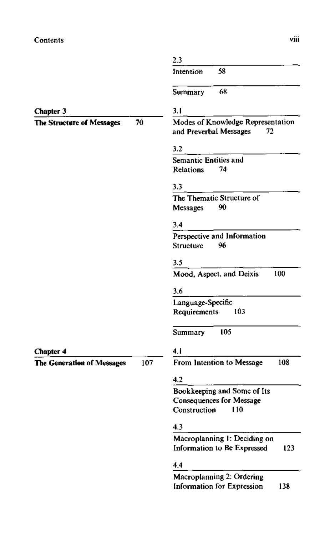# Contents

|                                 | 2.3                                                                            |
|---------------------------------|--------------------------------------------------------------------------------|
|                                 | 58<br>Intention                                                                |
|                                 | 68<br>Summary                                                                  |
| Chapter 3                       | 3.1                                                                            |
| 70<br>The Structure of Messages | Modes of Knowledge Representation<br>and Preverbal Messages<br>72              |
|                                 | 3.2                                                                            |
|                                 | Semantic Entities and<br><b>Relations</b><br>74                                |
|                                 | 3.3                                                                            |
|                                 | The Thematic Structure of<br>90<br>Messages                                    |
|                                 | 3.4                                                                            |
|                                 | Perspective and Information<br>96<br>Structure                                 |
|                                 | 3.5                                                                            |
|                                 | 100<br>Mood, Aspect, and Deixis                                                |
|                                 | 3.6                                                                            |
|                                 | Language-Specific<br>103<br>Requirements                                       |
|                                 | 105<br>Summary                                                                 |
| Chapter 4                       | 4.1                                                                            |
| The Generation of Messages      | From Intention to Message<br>108<br>107                                        |
|                                 | 4.2                                                                            |
|                                 | Bookkeeping and Some of Its<br>Consequences for Message<br>Construction<br>110 |
|                                 |                                                                                |
|                                 | 4.3<br>Macroplanning 1: Deciding on<br>Information to Be Expressed<br>123      |
|                                 | 4.4                                                                            |
|                                 | Macroplanning 2: Ordering                                                      |
|                                 | <b>Information for Expression</b><br>138                                       |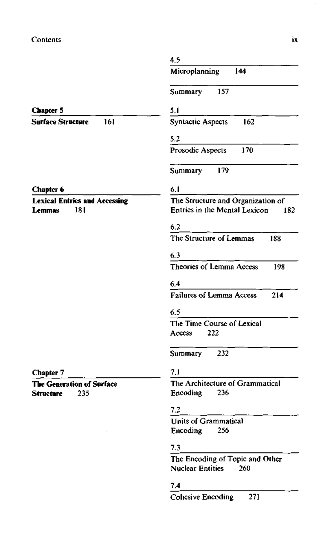|                                                       | 4.5                                                                       |
|-------------------------------------------------------|---------------------------------------------------------------------------|
|                                                       | Microplanning<br>144                                                      |
|                                                       | <b>Summary</b><br>157                                                     |
| <b>Chapter 5</b>                                      | 5.1                                                                       |
| <b>Surface Structure</b><br>161                       | <b>Syntactic Aspects</b><br>162                                           |
|                                                       | 5.2                                                                       |
|                                                       | Prosodic Aspects<br>170                                                   |
|                                                       | <b>Summary</b><br>179                                                     |
| Chapter 6                                             | 6.1                                                                       |
| <b>Lexical Entries and Accessing</b><br>Lemmas<br>181 | The Structure and Organization of<br>Entries in the Mental Lexicon<br>182 |
|                                                       | 6.2                                                                       |
|                                                       | The Structure of Lemmas<br>188                                            |
|                                                       | 6.3                                                                       |
|                                                       | Theories of Lemma Access<br>198                                           |
|                                                       | 6.4                                                                       |
|                                                       | Failures of Lemma Access<br>214                                           |
|                                                       | 6.5                                                                       |
|                                                       | The Time Course of Lexical<br>Access<br>222                               |
|                                                       | Summary<br>232                                                            |
| Chapter 7                                             | 7.1                                                                       |
| The Generation of Surface<br><b>Structure</b><br>235  | The Architecture of Grammatical<br>Encoding<br>236                        |
|                                                       | 7.2                                                                       |
|                                                       | Units of Grammatical                                                      |
|                                                       | Encoding<br>256                                                           |
|                                                       | 7.3                                                                       |
|                                                       | The Encoding of Topic and Other                                           |
|                                                       | <b>Nuclear Entities</b><br>260                                            |
|                                                       | 7.4                                                                       |
|                                                       | <b>Cohesive Encoding</b><br>271                                           |

 $\sim$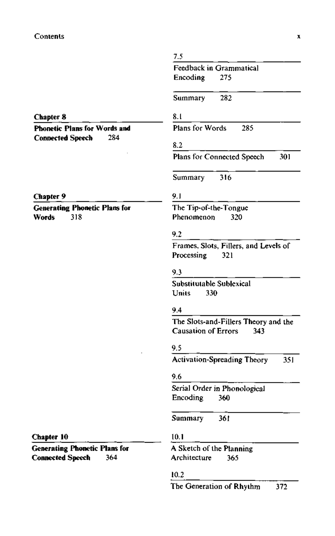#### **Chapter 8**

## **Phonetic Plans for Words and Connected Speech** 284

#### **Chapter 9**

**Generating Phonetic Plans for Words** 318

### 7.5

Feedback in Grammatical Encoding 275

Summary 282

#### $8.1$

Plans for Words 285

### 8.2

Plans for Connected Speech 301

Summary 316

#### 9.1

The Tip-of-the-Tongue Phenomenon 320

## 9.2

Frames, Slots, Fillers, and Levels of Processing 321

## 9.3

Substitutable Sublexical Units 330

#### 9.4

The Slots-and-Fillers Theory and the Causation of Errors 343

### 9.5

Activation-Spreading Theory 351

#### 9^6

Serial Order in Phonological Encoding 360

Summary 361

# 10.1

A Sketch of the Planning Architecture 365

### 10.2

The Generation of Rhythm 372

**Chapter 10** 

**Generating Phonetic Plans for Connected Speech** 364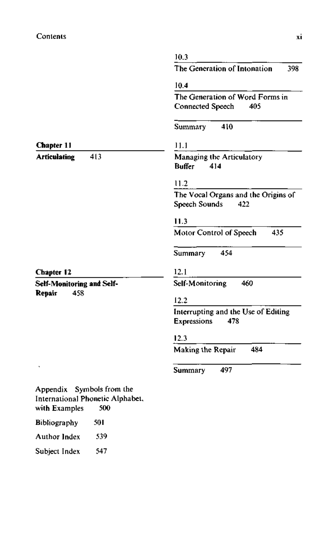## **Contents** xi

|                                                                                          | 10.3                                                        |
|------------------------------------------------------------------------------------------|-------------------------------------------------------------|
|                                                                                          | The Generation of Intonation<br>398                         |
|                                                                                          | 10.4                                                        |
|                                                                                          | The Generation of Word Forms in<br>Connected Speech<br>405  |
|                                                                                          | Summary<br>410                                              |
| <b>Chapter 11</b>                                                                        | 11.1                                                        |
| 413<br><b>Articulating</b>                                                               | Managing the Articulatory<br>Buffer<br>414                  |
|                                                                                          | 11.2                                                        |
|                                                                                          | The Vocal Organs and the Origins of<br>Speech Sounds<br>422 |
|                                                                                          | 11.3                                                        |
|                                                                                          | Motor Control of Speech<br>435                              |
|                                                                                          | Summary<br>454                                              |
| Chapter 12                                                                               | 12.1                                                        |
| Self-Monitoring and Self-                                                                | Self-Monitoring<br>460                                      |
| Repair<br>458                                                                            | 12.2                                                        |
|                                                                                          | Interrupting and the Use of Editing<br>Expressions<br>478   |
|                                                                                          | 12.3                                                        |
|                                                                                          | Making the Repair<br>484                                    |
|                                                                                          | Summary<br>497                                              |
| Appendix<br>Symbols from the<br>International Phonetic Alphabet,<br>500<br>with Examples |                                                             |
| 501<br>Bibliography                                                                      |                                                             |
| Author Index<br>539                                                                      |                                                             |
| <b>CITATION</b><br><b>CAT</b>                                                            |                                                             |

Subject Index 547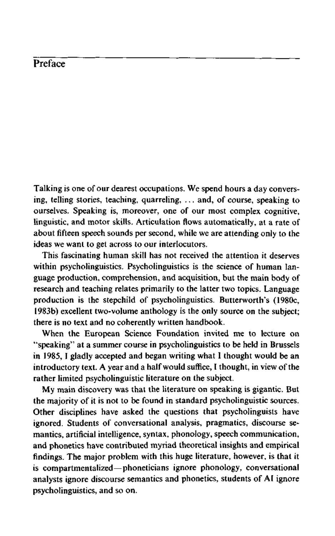# **Preface**

Talking is one of our dearest occupations. We spend hours a day conversing, telling stories, teaching, quarreling, ... and, of course, speaking to ourselves. Speaking is, moreover, one of our most complex cognitive, linguistic, and motor skills. Articulation flows automatically, at a rate of about fifteen speech sounds per second, while we are attending only to the ideas we want to get across to our interlocutors.

This fascinating human skill has not received the attention it deserves within psycholinguistics. Psycholinguistics is the science of human language production, comprehension, and acquisition, but the main body of research and teaching relates primarily to the latter two topics. Language production is the stepchild of psycholinguistics. Butterworth's (1980c, 1983b) excellent two-volume anthology is the only source on the subject; there is no text and no coherently written handbook.

When the European Science Foundation invited me to lecture on "speaking" at a summer course in psycholinguistics to be held in Brussels in 1985, I gladly accepted and began writing what I thought would be an introductory text. A year and a half would suffice, I thought, in view of the rather limited psycholinguistic literature on the subject.

My main discovery was that the literature on speaking is gigantic. But the majority of it is not to be found in standard psycholinguistic sources. Other disciplines have asked the questions that psycholinguists have ignored. Students of conversational analysis, pragmatics, discourse semantics, artificial intelligence, syntax, phonology, speech communication, and phonetics have contributed myriad theoretical insights and empirical findings. The major problem with this huge literature, however, is that it is compartmentalized—phoneticians ignore phonology, conversational analysts ignore discourse semantics and phonetics, students of AI ignore psycholinguistics, and so on.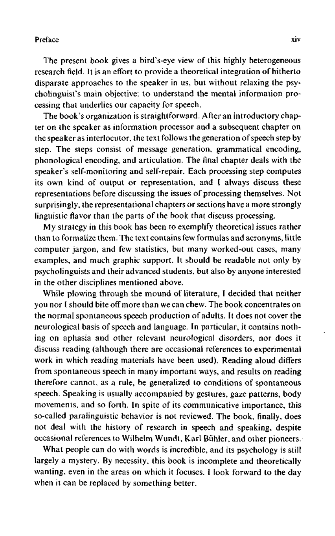# Preface xiv

The present book gives a bird's-eye view of this highly heterogeneous research field. It is an effort to provide a theoretical integration of hitherto disparate approaches to the speaker in us, but without relaxing the psycholinguist's main objective: to understand the mental information processing that underlies our capacity for speech.

The book's organization is straightforward. After an introductory chapter on the speaker as information processor and a subsequent chapter on the speaker as interlocutor, the text follows the generation of speech step by step. The steps consist of message generation, grammatical encoding, phonological encoding, and articulation. The final chapter deals with the speaker's self-monitoring and self-repair. Each processing step computes its own kind of output or representation, and I always discuss these representations before discussing the issues of processing themselves. Not surprisingly, the representational chapters or sections have a more strongly linguistic flavor than the parts of the book that discuss processing.

My strategy in this book has been to exemplify theoretical issues rather than to formalize them. The text contains few formulas and acronyms, little computer jargon, and few statistics, but many worked-out cases, many examples, and much graphic support. It should be readable not only by psycholinguists and their advanced students, but also by anyone interested in the other disciplines mentioned above.

While plowing through the mound of literature, I decided that neither you nor I should bite off more than we can chew. The book concentrates on the normal spontaneous speech production of adults. It does not cover the neurological basis of speech and language. In particular, it contains nothing on aphasia and other relevant neurological disorders, nor does it discuss reading (although there are occasional references to experimental work in which reading materials have been used). Reading aloud differs from spontaneous speech in many important ways, and results on reading therefore cannot, as a rule, be generalized to conditions of spontaneous speech. Speaking is usually accompanied by gestures, gaze patterns, body movements, and so forth. In spite of its communicative importance, this so-called paralinguistic behavior is not reviewed. The book, finally, does not deal with the history of research in speech and speaking, despite occasional references to Wilhelm Wundt, Karl Buhler, and other pioneers.

What people can do with words is incredible, and its psychology is still largely a mystery. By necessity, this book is incomplete and theoretically wanting, even in the areas on which it focuses. I look forward to the day when it can be replaced by something better.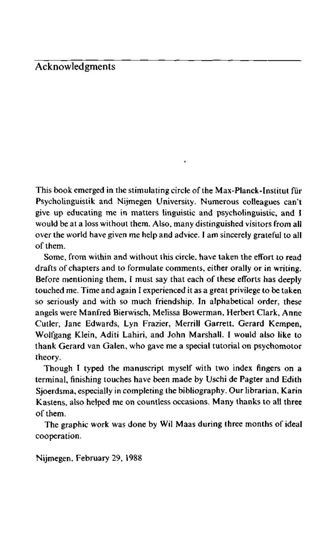# **Acknowledgments**

This book emerged in the stimulating circle of the Max-Planck-Institut fur Psycholinguistik and Nijmegen University. Numerous colleagues can't give up educating me in matters linguistic and psycholinguistic, and I would be at a loss without them. Also, many distinguished visitors from all over the world have given me help and advice. I am sincerely grateful to all of them.

Some, from within and without this circle, have taken the effort to read drafts of chapters and to formulate comments, either orally or in writing. Before mentioning them, I must say that each of these efforts has deeply touched me. Time and again I experienced it as a great privilege to be taken so seriously and with so much friendship. In alphabetical order, these angels were Manfred Bierwisch, Melissa Bowerman, Herbert Clark, Anne Cutler, Jane Edwards, Lyn Frazier, Merrill Garrett, Gerard Kempen, Wolfgang Klein, Aditi Lahiri, and John Marshall. I would also like to thank Gerard van Galen, who gave me a special tutorial on psychomotor theory.

Though I typed the manuscript myself with two index fingers on a terminal, finishing touches have been made by Uschi de Pagter and Edith Sjoerdsma, especially in completing the bibliography. Our librarian, Karin Kastens, also helped me on countless occasions. Many thanks to all three of them.

The graphic work was done by Wil Maas during three months of ideal cooperation.

Nijmegen, February 29, 1988